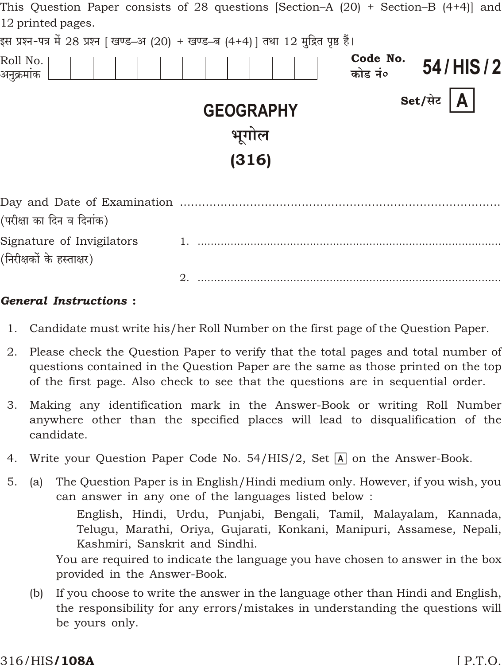| This Question Paper consists of 28 questions  Section–A (20) + Section–B (4+4)  and   |                  |                                 |
|---------------------------------------------------------------------------------------|------------------|---------------------------------|
| 12 printed pages.                                                                     |                  |                                 |
| इस प्रश्न-पत्र में 28 प्रश्न [ खण्ड–अ (20) + खण्ड–ब (4+4) ] तथा 12 मुद्रित पृष्ठ हैं। |                  |                                 |
| Roll No.<br>अनुक्रमांक                                                                |                  | Code No.<br>54/HIS/2<br>कोड नं० |
|                                                                                       | <b>GEOGRAPHY</b> | Set/सेट $\bm{A}$                |
|                                                                                       | भूगोल            |                                 |
|                                                                                       | (316)            |                                 |
|                                                                                       |                  |                                 |
| (परीक्षा का दिन व दिनांक)                                                             |                  |                                 |
| Signature of Invigilators<br>(निरीक्षकों के हस्ताक्षर)                                |                  |                                 |
|                                                                                       |                  |                                 |

#### **General Instructions:**

- 1. Candidate must write his/her Roll Number on the first page of the Question Paper.
- 2. Please check the Question Paper to verify that the total pages and total number of questions contained in the Question Paper are the same as those printed on the top of the first page. Also check to see that the questions are in sequential order.
- 3. Making any identification mark in the Answer-Book or writing Roll Number anywhere other than the specified places will lead to disqualification of the candidate.
- Write your Question Paper Code No. 54/HIS/2, Set  $\overline{A}$  on the Answer-Book. 4.
- $5<sub>1</sub>$ The Question Paper is in English/Hindi medium only. However, if you wish, you  $(a)$ can answer in any one of the languages listed below:

English, Hindi, Urdu, Punjabi, Bengali, Tamil, Malayalam, Kannada, Telugu, Marathi, Oriya, Gujarati, Konkani, Manipuri, Assamese, Nepali, Kashmiri, Sanskrit and Sindhi.

You are required to indicate the language you have chosen to answer in the box provided in the Answer-Book.

If you choose to write the answer in the language other than Hindi and English,  $(b)$ the responsibility for any errors/mistakes in understanding the questions will be yours only.

#### 316/HIS**/108A**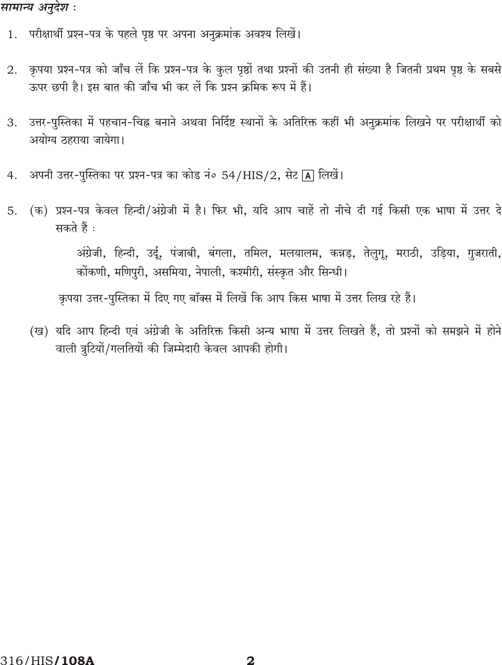## सामान्य अनुदेश :

- 1. परीक्षार्थी प्रश्न-पत्र के पहले पृष्ठ पर अपना अनुक्रमांक अवश्य लिखें।
- कृपया प्रश्न-पत्र को जाँच लें कि प्रश्न-पत्र के कुल पृष्ठों तथा प्रश्नों की उतनी ही संख्या है जितनी प्रथम पृष्ठ के सबसे 2. ऊपर छपी है। इस बात की जाँच भी कर लें कि प्रश्न क्रमिक रूप में हैं।
- उत्तर-पुस्तिका में पहचान-चिह्न बनाने अथवा निर्दिष्ट स्थानों के अतिरिक्त कहीं भी अनुक्रमांक लिखने पर परीक्षार्थी को 3. अयोग्य ठहराया जायेगा।
- अपनी उत्तर-पुस्तिका पर प्रश्न-पत्र का कोड नं० 54/HIS/2, सेट [A] लिखें।  $4.$
- (क) प्रश्न-पत्र केवल हिन्दी/अंग्रेजी में है। फिर भी, यदि आप चाहें तो नीचे दी गई किसी एक भाषा में उत्तर दे 5. सकते हैं :

अंग्रेजी, हिन्दी, उर्दू, पंजाबी, बंगला, तमिल, मलयालम, कन्नड़, तेलुगू, मराठी, उड़िया, गुजराती, कोंकणी, मणिपुरी, असमिया, नेपाली, कश्मीरी, संस्कृत और सिन्धी।

कृपया उत्तर-पुस्तिका में दिए गए बॉक्स में लिखें कि आप किस भाषा में उत्तर लिख रहे हैं।

(ख) यदि आप हिन्दी एवं अंग्रेजी के अतिरिक्त किसी अन्य भाषा में उत्तर लिखते हैं, तो प्रश्नों को समझने में होने वाली त्रुटियों/गलतियों की जिम्मेदारी केवल आपकी होगी।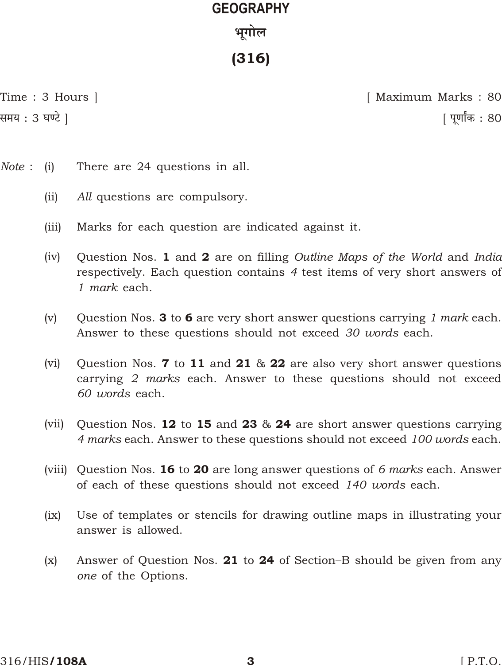# **GEOGRAPHY ^yJmob** (316)

g\_` : 3 K Q>o ] [ nyUm™H\$ : 80

Time : 3 Hours ] [ Maximum Marks : 80

- *Note* : (i) There are 24 questions in all.
	- (ii) *All* questions are compulsory.
	- (iii) Marks for each question are indicated against it.
	- (iv) Question Nos. 1 and 2 are on filling *Outline Maps of the World* and *India* respectively. Each question contains *4* test items of very short answers of *1 mark* each.
	- (v) Question Nos. 3 to 6 are very short answer questions carrying *1 mark* each. Answer to these questions should not exceed *30 words* each.
	- (vi) Question Nos. **7** to 11 and 21  $\&$  22 are also very short answer questions carrying *2 marks* each. Answer to these questions should not exceed *60 words* each.
	- (vii) Question Nos. 12 to 15 and 23  $\&$  24 are short answer questions carrying *4 marks* each. Answer to these questions should not exceed *100 words* each.
	- (viii) Question Nos. 16 to 20 are long answer questions of *6 marks* each. Answer of each of these questions should not exceed *140 words* each.
	- (ix) Use of templates or stencils for drawing outline maps in illustrating your answer is allowed.
	- (x) Answer of Question Nos. 21 to 24 of Section–B should be given from any *one* of the Options.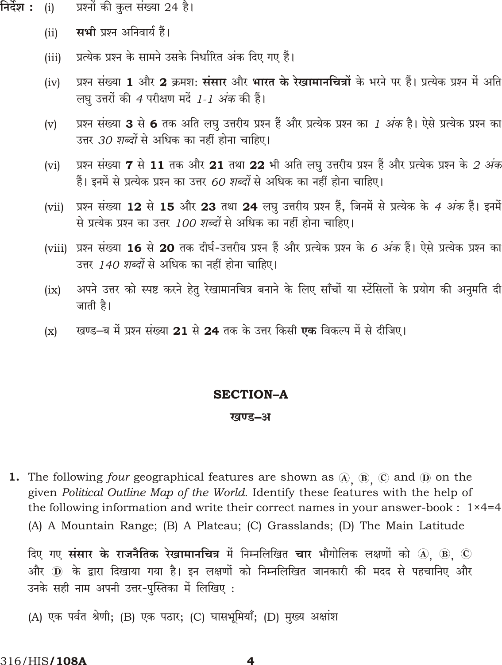- निर्देश : प्रश्नों की कुल संख्या 24 है।  $(i)$ 
	- सभी प्रश्न अनिवार्य हैं।  $(ii)$
	- प्रत्येक प्रश्न के सामने उसके निर्धारित अंक दिए गए हैं।  $(iii)$
	- प्रश्न संख्या 1 और 2 क्रमश: संसार और भारत के रेखामानचित्रों के भरने पर हैं। प्रत्येक प्रश्न में अति  $(iv)$ लघु उत्तरों की *4* परीक्षण मर्दे *1-1 अंक* की हैं।
	- प्रश्न संख्या 3 से 6 तक अति लघु उत्तरीय प्रश्न हैं और प्रत्येक प्रश्न का *1 अंक* है। ऐसे प्रत्येक प्रश्न का  $(v)$ उत्तर 30 शब्दों से अधिक का नहीं होना चाहिए।
	- प्रश्न संख्या 7 से 11 तक और 21 तथा 22 भी अति लघु उत्तरीय प्रश्न हैं और प्रत्येक प्रश्न के *2 अंक*  $(vi)$ हैं। इनमें से प्रत्येक प्रश्न का उत्तर 60 शब्दों से अधिक का नहीं होना चाहिए।
	- प्रश्न संख्या 12 से 15 और 23 तथा 24 लघु उत्तरीय प्रश्न हैं, जिनमें से प्रत्येक के *4 अंक* हैं। इनमें  $(vii)$ से प्रत्येक प्रश्न का उत्तर 100 शब्दों से अधिक का नहीं होना चाहिए।
	- (viii) प्रश्न संख्या 16 से 20 तक दीर्घ-उत्तरीय प्रश्न हैं और प्रत्येक प्रश्न के 6 अंक हैं। ऐसे प्रत्येक प्रश्न का उत्तर 140 शब्दों से अधिक का नहीं होना चाहिए।
	- अपने उत्तर को स्पष्ट करने हेतु रेखामानचित्र बनाने के लिए साँचों या स्टेंसिलों के प्रयोग की अनुमति दी  $(ix)$ जाती है।
	- खण्ड–ब में प्रश्न संख्या 21 से 24 तक के उत्तर किसी **एक** विकल्प में से दीजिए।  $(x)$

#### **SECTION-A**

#### खण्ड–अ

1. The following four geographical features are shown as  $(4)$ ,  $(8)$ ,  $(7)$  and  $(9)$  on the given Political Outline Map of the World. Identify these features with the help of the following information and write their correct names in your answer-book :  $1 \times 4=4$ (A) A Mountain Range; (B) A Plateau; (C) Grasslands; (D) The Main Latitude

दिए गए संसार के राजनैतिक रेखामानचित्र में निम्नलिखित चार भौगोलिक लक्षणों को  $\omega$   $\omega$   $\omega$ और ① के द्वारा दिखाया गया है। इन लक्षणों को निम्नलिखित जानकारी की मदद से पहचानिए और उनके सही नाम अपनी उत्तर-पुस्तिका में लिखिए:

(A) एक पर्वत श्रेणी; (B) एक पठार; (C) घासभूमियाँ; (D) मुख्य अक्षांश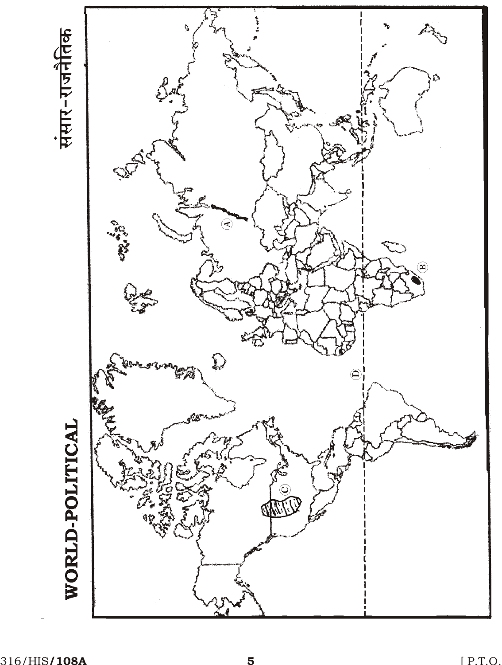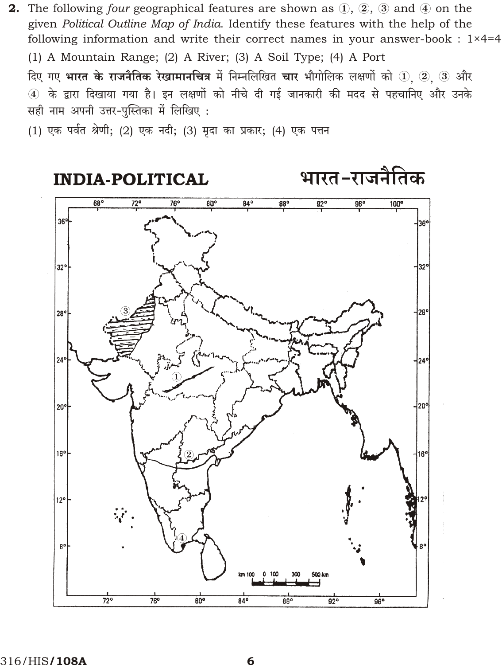**2.** The following four geographical features are shown as  $(1, 2)$ ,  $(3)$  and  $(4)$  on the given Political Outline Map of India. Identify these features with the help of the following information and write their correct names in your answer-book :  $1 \times 4=4$ (1) A Mountain Range; (2) A River; (3) A Soil Type; (4) A Port

दिए गए **भारत के राजनैतिक रेखामानचित्र** में निम्नलिखित **चार** भौगोलिक लक्षणों को ① ② ③ और 4 के द्वारा दिखाया गया है। इन लक्षणों को नीचे दी गई जानकारी की मदद से पहचानिए और उनके सही नाम अपनी उत्तर-पुस्तिका में लिखिए:

(1) एक पर्वत श्रेणी; (2) एक नदी; (3) मृदा का प्रकार; (4) एक पत्तन

**INDIA-POLITICAL** 

भारत-राजनैतिक

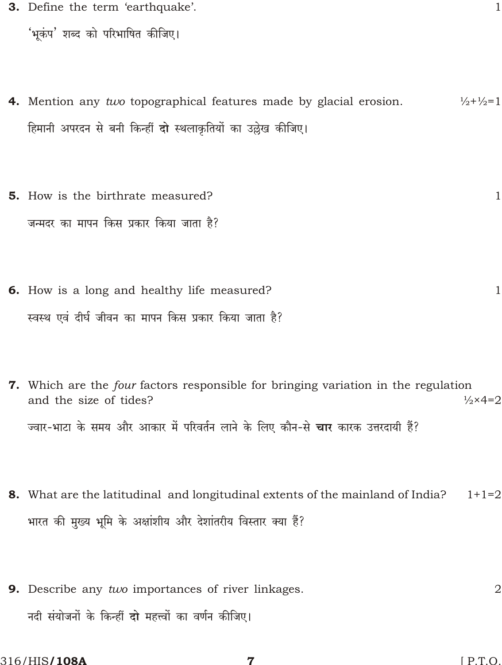3. Define the term 'earthquake'.

'भुकंप' शब्द को परिभाषित कीजिए।

- 4. Mention any two topographical features made by glacial erosion.  $\frac{1}{2} + \frac{1}{2} = 1$ हिमानी अपरदन से बनी किन्हीं **दो** स्थलाकृतियों का उल्लेख कीजिए।
- **5.** How is the birthrate measured?  $\mathbf{1}$ जन्मदर का मापन किस प्रकार किया जाता है?
- 6. How is a long and healthy life measured?  $\mathbf{1}$ स्वस्थ एवं दीर्घ जीवन का मापन किस प्रकार किया जाता है?
- 7. Which are the four factors responsible for bringing variation in the regulation  $\frac{1}{2} \times 4 = 2$ and the size of tides? ज्वार-भाटा के समय और आकार में परिवर्तन लाने के लिए कौन-से **चार** कारक उत्तरदायी हैं?
- 8. What are the latitudinal and longitudinal extents of the mainland of India?  $1+1=2$ भारत की मुख्य भूमि के अक्षांशीय और देशांतरीय विस्तार क्या हैं?
- 9. Describe any two importances of river linkages.  $\overline{2}$ नदी संयोजनों के किन्हीं दो महत्त्वों का वर्णन कीजिए।

7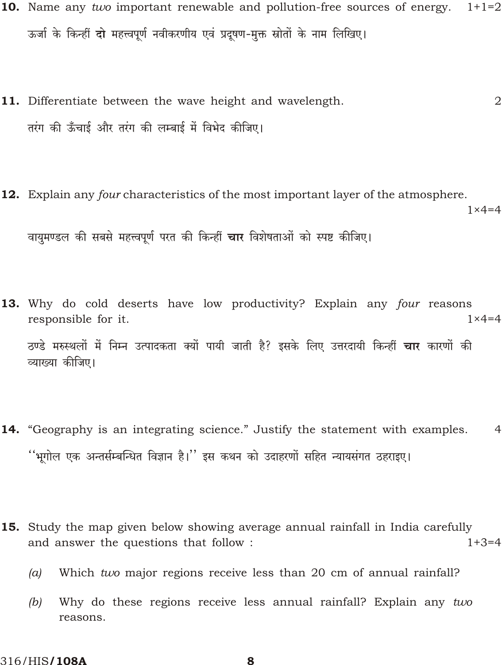- 10. Name any two important renewable and pollution-free sources of energy.  $1+1=2$ ऊर्जा के किन्हीं दो महत्त्वपूर्ण नवीकरणीय एवं प्रदूषण-मुक्त स्रोतों के नाम लिखिए।
- 11. Differentiate between the wave height and wavelength.  $\overline{2}$ तरंग की ऊँचाई और तरंग की लम्बाई में विभेद कीजिए।
- 12. Explain any *four* characteristics of the most important layer of the atmosphere.  $1 \times 4 = 4$ वायुमण्डल की सबसे महत्त्वपूर्ण परत की किन्हीं **चार** विशेषताओं को स्पष्ट कीजिए।
- 13. Why do cold deserts have low productivity? Explain any four reasons responsible for it.  $1 \times 4 = 4$ ठण्डे मरुस्थलों में निम्न उत्पादकता क्यों पायी जाती है? इसके लिए उत्तरदायी किन्हीं **चार** कारणों की व्याख्या कीजिए।
- **14.** "Geography is an integrating science." Justify the statement with examples.  $\overline{4}$ ''भूगोल एक अन्तर्सम्बन्धित विज्ञान है।'' इस कथन को उदाहरणों सहित न्यायसंगत ठहराइए।
- **15.** Study the map given below showing average annual rainfall in India carefully and answer the questions that follow :  $1+3=4$ 
	- Which two major regions receive less than 20 cm of annual rainfall?  $(a)$
	- Why do these regions receive less annual rainfall? Explain any two  $(b)$ reasons.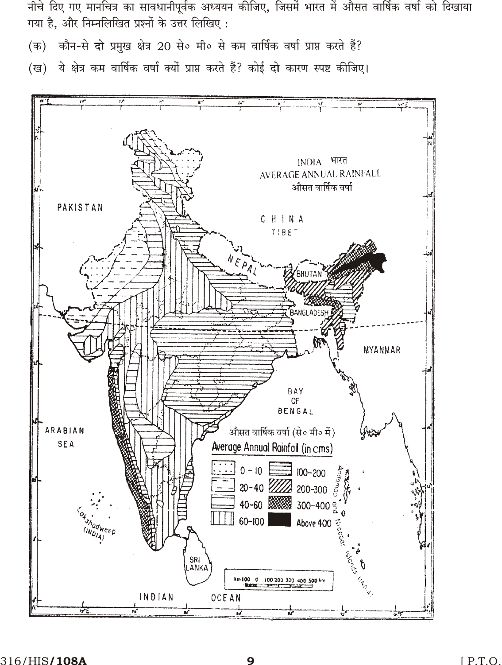नीचे दिए गए मानचित्र का सावधानीपूर्वक अध्ययन कीजिए, जिसमें भारत में औसत वार्षिक वर्षा को दिखाया गया है. और निम्नलिखित प्रश्नों के उत्तर लिखिए:

(क) कौन-से दो प्रमुख क्षेत्र 20 से० मी० से कम वार्षिक वर्षा प्राप्त करते हैं?

(ख) ये क्षेत्र कम वार्षिक वर्षा क्यों प्राप्त करते हैं? कोई दो कारण स्पष्ट कीजिए।

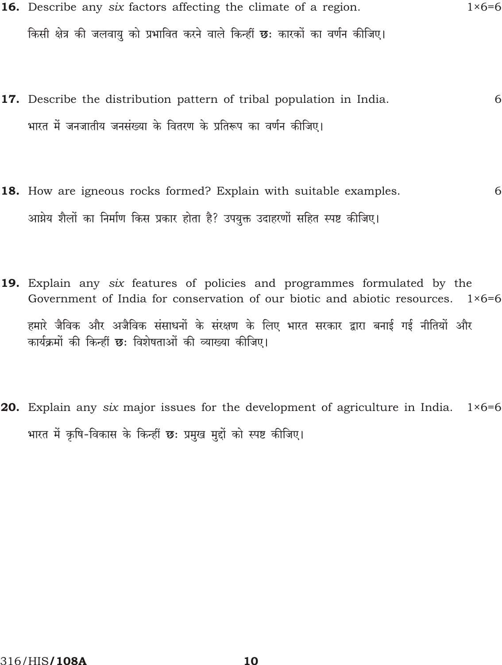- 16. Describe any six factors affecting the climate of a region.  $1 \times 6 = 6$ किसी क्षेत्र की जलवायु को प्रभावित करने वाले किन्हीं **छः** कारकों का वर्णन कीजिए।
- 17. Describe the distribution pattern of tribal population in India. 6 भारत में जनजातीय जनसंख्या के वितरण के प्रतिरूप का वर्णन कीजिए।
- 18. How are igneous rocks formed? Explain with suitable examples. 6 आग्नेय शैलों का निर्माण किस प्रकार होता है? उपयुक्त उदाहरणों सहित स्पष्ट कीजिए।
- 19. Explain any six features of policies and programmes formulated by the Government of India for conservation of our biotic and abiotic resources. 1×6=6 हमारे जैविक और अजैविक संसाधनों के संरक्षण के लिए भारत सरकार द्वारा बनाई गई नीतियों और कार्यक्रमों की किन्हीं छ: विशेषताओं की व्याख्या कीजिए।
- 20. Explain any six major issues for the development of agriculture in India.  $1\times 6=6$ भारत में कृषि-विकास के किन्हीं छः प्रमुख मुद्दों को स्पष्ट कीजिए।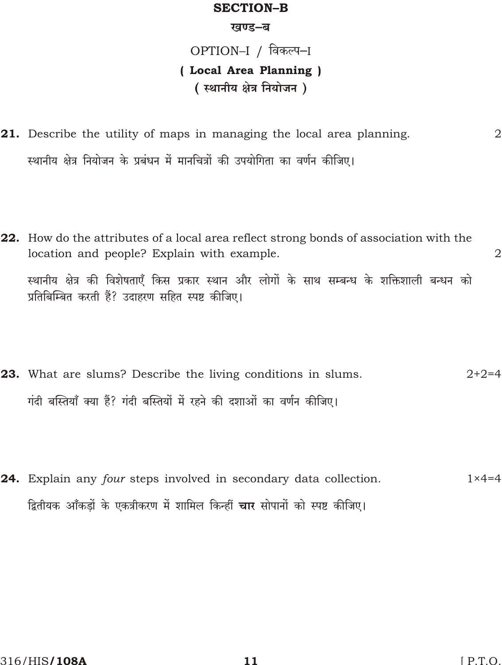### **SECTION-B**

#### खण्ड-ब

# OPTION–I / विकल्प–I (Local Area Planning) (स्थानीय क्षेत्र नियोजन)

- 21. Describe the utility of maps in managing the local area planning. स्थानीय क्षेत्र नियोजन के प्रबंधन में मानचित्रों की उपयोगिता का वर्णन कीजिए।
- 22. How do the attributes of a local area reflect strong bonds of association with the location and people? Explain with example.  $\overline{2}$ स्थानीय क्षेत्र की विशेषताएँ किस प्रकार स्थान और लोगों के साथ सम्बन्ध के शक्तिशाली बन्धन को प्रतिबिम्बित करती हैं? उदाहरण सहित स्पष्ट कीजिए।
- **23.** What are slums? Describe the living conditions in slums.  $2+2=4$ गंदी बस्तियाँ क्या हैं? गंदी बस्तियों में रहने की दशाओं का वर्णन कीजिए।
- 24. Explain any four steps involved in secondary data collection.  $1 \times 4 = 4$ द्वितीयक आँकडों के एकत्रीकरण में शामिल किन्हीं **चार** सोपानों को स्पष्ट कीजिए।

 $\overline{2}$